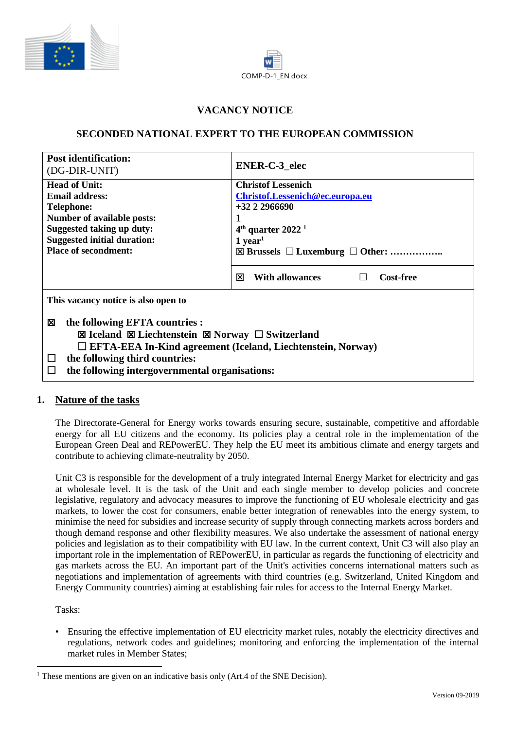



# **VACANCY NOTICE**

# **SECONDED NATIONAL EXPERT TO THE EUROPEAN COMMISSION**

| <b>Post identification:</b><br>(DG-DIR-UNIT)                                                                                                                                                                                                                | <b>ENER-C-3</b> elec                                         |
|-------------------------------------------------------------------------------------------------------------------------------------------------------------------------------------------------------------------------------------------------------------|--------------------------------------------------------------|
| <b>Head of Unit:</b><br><b>Email address:</b>                                                                                                                                                                                                               | <b>Christof Lessenich</b><br>Christof.Lessenich@ec.europa.eu |
| <b>Telephone:</b>                                                                                                                                                                                                                                           | $+3222966690$                                                |
| <b>Number of available posts:</b>                                                                                                                                                                                                                           |                                                              |
| <b>Suggested taking up duty:</b><br><b>Suggested initial duration:</b>                                                                                                                                                                                      | $4th$ quarter 2022 <sup>1</sup><br>$1$ year <sup>1</sup>     |
| <b>Place of secondment:</b>                                                                                                                                                                                                                                 | $\boxtimes$ Brussels $\Box$ Luxemburg $\Box$ Other:          |
|                                                                                                                                                                                                                                                             | ⊠<br><b>With allowances</b><br><b>Cost-free</b>              |
| This vacancy notice is also open to                                                                                                                                                                                                                         |                                                              |
| the following EFTA countries :<br>⊠<br>⊠ Iceland ⊠ Liechtenstein ⊠ Norway $\Box$ Switzerland<br>$\Box$ EFTA-EEA In-Kind agreement (Iceland, Liechtenstein, Norway)<br>the following third countries:<br>⊔<br>the following intergovernmental organisations: |                                                              |

#### **1. Nature of the tasks**

The Directorate-General for Energy works towards ensuring secure, sustainable, competitive and affordable energy for all EU citizens and the economy. Its policies play a central role in the implementation of the European Green Deal and REPowerEU. They help the EU meet its ambitious climate and energy targets and contribute to achieving climate-neutrality by 2050.

Unit C3 is responsible for the development of a truly integrated Internal Energy Market for electricity and gas at wholesale level. It is the task of the Unit and each single member to develop policies and concrete legislative, regulatory and advocacy measures to improve the functioning of EU wholesale electricity and gas markets, to lower the cost for consumers, enable better integration of renewables into the energy system, to minimise the need for subsidies and increase security of supply through connecting markets across borders and though demand response and other flexibility measures. We also undertake the assessment of national energy policies and legislation as to their compatibility with EU law. In the current context, Unit C3 will also play an important role in the implementation of REPowerEU, in particular as regards the functioning of electricity and gas markets across the EU. An important part of the Unit's activities concerns international matters such as negotiations and implementation of agreements with third countries (e.g. Switzerland, United Kingdom and Energy Community countries) aiming at establishing fair rules for access to the Internal Energy Market.

Tasks:

• Ensuring the effective implementation of EU electricity market rules, notably the electricity directives and regulations, network codes and guidelines; monitoring and enforcing the implementation of the internal market rules in Member States;

<sup>&</sup>lt;sup>1</sup> These mentions are given on an indicative basis only (Art.4 of the SNE Decision).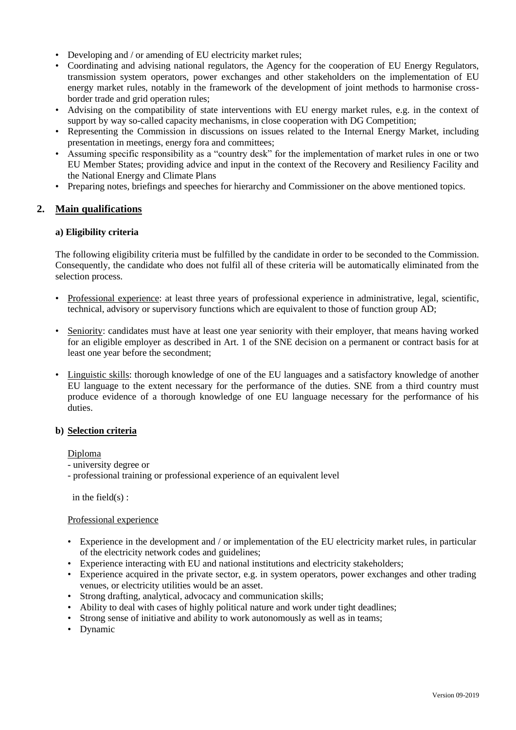- Developing and / or amending of EU electricity market rules;
- Coordinating and advising national regulators, the Agency for the cooperation of EU Energy Regulators, transmission system operators, power exchanges and other stakeholders on the implementation of EU energy market rules, notably in the framework of the development of joint methods to harmonise crossborder trade and grid operation rules;
- Advising on the compatibility of state interventions with EU energy market rules, e.g. in the context of support by way so-called capacity mechanisms, in close cooperation with DG Competition;
- Representing the Commission in discussions on issues related to the Internal Energy Market, including presentation in meetings, energy fora and committees;
- Assuming specific responsibility as a "country desk" for the implementation of market rules in one or two EU Member States; providing advice and input in the context of the Recovery and Resiliency Facility and the National Energy and Climate Plans
- Preparing notes, briefings and speeches for hierarchy and Commissioner on the above mentioned topics.

## **2. Main qualifications**

#### **a) Eligibility criteria**

The following eligibility criteria must be fulfilled by the candidate in order to be seconded to the Commission. Consequently, the candidate who does not fulfil all of these criteria will be automatically eliminated from the selection process.

- Professional experience: at least three years of professional experience in administrative, legal, scientific, technical, advisory or supervisory functions which are equivalent to those of function group AD;
- Seniority: candidates must have at least one year seniority with their employer, that means having worked for an eligible employer as described in Art. 1 of the SNE decision on a permanent or contract basis for at least one year before the secondment;
- Linguistic skills: thorough knowledge of one of the EU languages and a satisfactory knowledge of another EU language to the extent necessary for the performance of the duties. SNE from a third country must produce evidence of a thorough knowledge of one EU language necessary for the performance of his duties.

#### **b) Selection criteria**

#### Diploma

- university degree or
- professional training or professional experience of an equivalent level

in the field $(s)$ :

#### Professional experience

- Experience in the development and / or implementation of the EU electricity market rules, in particular of the electricity network codes and guidelines;
- Experience interacting with EU and national institutions and electricity stakeholders;
- Experience acquired in the private sector, e.g. in system operators, power exchanges and other trading venues, or electricity utilities would be an asset.
- Strong drafting, analytical, advocacy and communication skills;
- Ability to deal with cases of highly political nature and work under tight deadlines;
- Strong sense of initiative and ability to work autonomously as well as in teams;
- Dynamic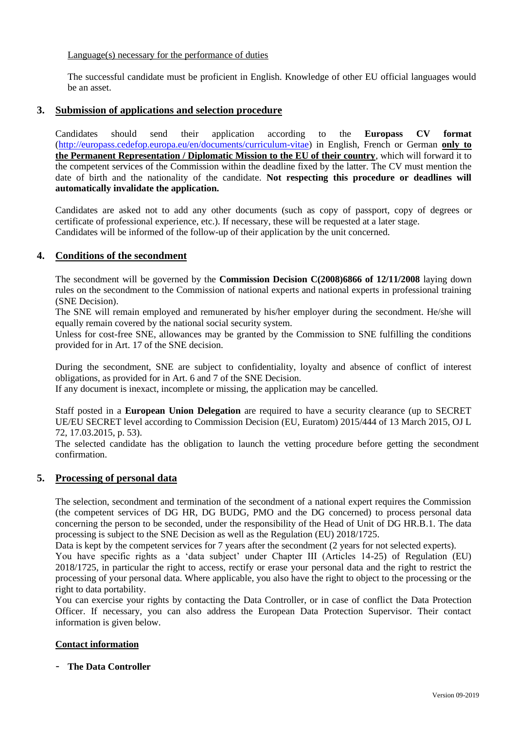## Language(s) necessary for the performance of duties

The successful candidate must be proficient in English. Knowledge of other EU official languages would be an asset.

# **3. Submission of applications and selection procedure**

Candidates should send their application according to the **Europass CV format**  [\(http://europass.cedefop.europa.eu/en/documents/curriculum-vitae\)](http://europass.cedefop.europa.eu/en/documents/curriculum-vitae) in English, French or German **only to the Permanent Representation / Diplomatic Mission to the EU of their country**, which will forward it to the competent services of the Commission within the deadline fixed by the latter. The CV must mention the date of birth and the nationality of the candidate. **Not respecting this procedure or deadlines will automatically invalidate the application.**

Candidates are asked not to add any other documents (such as copy of passport, copy of degrees or certificate of professional experience, etc.). If necessary, these will be requested at a later stage. Candidates will be informed of the follow-up of their application by the unit concerned.

# **4. Conditions of the secondment**

The secondment will be governed by the **Commission Decision C(2008)6866 of 12/11/2008** laying down rules on the secondment to the Commission of national experts and national experts in professional training (SNE Decision).

The SNE will remain employed and remunerated by his/her employer during the secondment. He/she will equally remain covered by the national social security system.

Unless for cost-free SNE, allowances may be granted by the Commission to SNE fulfilling the conditions provided for in Art. 17 of the SNE decision.

During the secondment, SNE are subject to confidentiality, loyalty and absence of conflict of interest obligations, as provided for in Art. 6 and 7 of the SNE Decision.

If any document is inexact, incomplete or missing, the application may be cancelled.

Staff posted in a **European Union Delegation** are required to have a security clearance (up to SECRET UE/EU SECRET level according to Commission Decision (EU, Euratom) 2015/444 of 13 March 2015, OJ L 72, 17.03.2015, p. 53).

The selected candidate has the obligation to launch the vetting procedure before getting the secondment confirmation.

# **5. Processing of personal data**

The selection, secondment and termination of the secondment of a national expert requires the Commission (the competent services of DG HR, DG BUDG, PMO and the DG concerned) to process personal data concerning the person to be seconded, under the responsibility of the Head of Unit of DG HR.B.1. The data processing is subject to the SNE Decision as well as the Regulation (EU) 2018/1725.

Data is kept by the competent services for 7 years after the secondment (2 years for not selected experts). You have specific rights as a 'data subject' under Chapter III (Articles 14-25) of Regulation (EU) 2018/1725, in particular the right to access, rectify or erase your personal data and the right to restrict the processing of your personal data. Where applicable, you also have the right to object to the processing or the right to data portability.

You can exercise your rights by contacting the Data Controller, or in case of conflict the Data Protection Officer. If necessary, you can also address the European Data Protection Supervisor. Their contact information is given below.

# **Contact information**

- **The Data Controller**